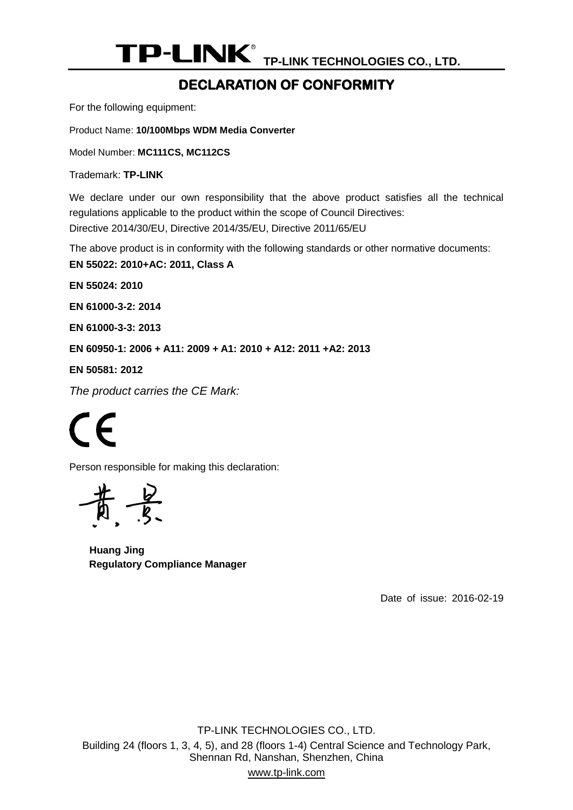### <span id="page-0-0"></span>**DECLARATION OF CONFORMITY**

For the following equipment:

Product Name: **10/100Mbps WDM Media Converter**

<span id="page-0-1"></span>Model Number: **MC111CS, MC112CS**

Trademark: **TP-LINK** 

We declare under our own responsibility that the above product satisfies all the technical regulations applicable to the product within the scope of Council Directives: Directive 2014/30/EU, Directive 2014/35/EU, Directive 2011/65/EU

The above product is in conformity with the following standards or other normative documents:

<span id="page-0-2"></span>**EN 55022: 2010+AC: 2011, Class A**

**EN 55024: 2010**

**EN 61000-3-2: 2014**

**EN 61000-3-3: 2013**

**EN 60950-1: 2006 + A11: 2009 + A1: 2010 + A12: 2011 +A2: 2013**

**EN 50581: 2012**

*The product carries the CE Mark:*

 $\epsilon$ 

Person responsible for making this declaration:

**Huang Jing Regulatory Compliance Manager**

<span id="page-0-3"></span>Date of issue: 2016-02-19

TP-LINK TECHNOLOGIES CO., LTD. Building 24 (floors 1, 3, 4, 5), and 28 (floors 1-4) Central Science and Technology Park, Shennan Rd, Nanshan, Shenzhen, China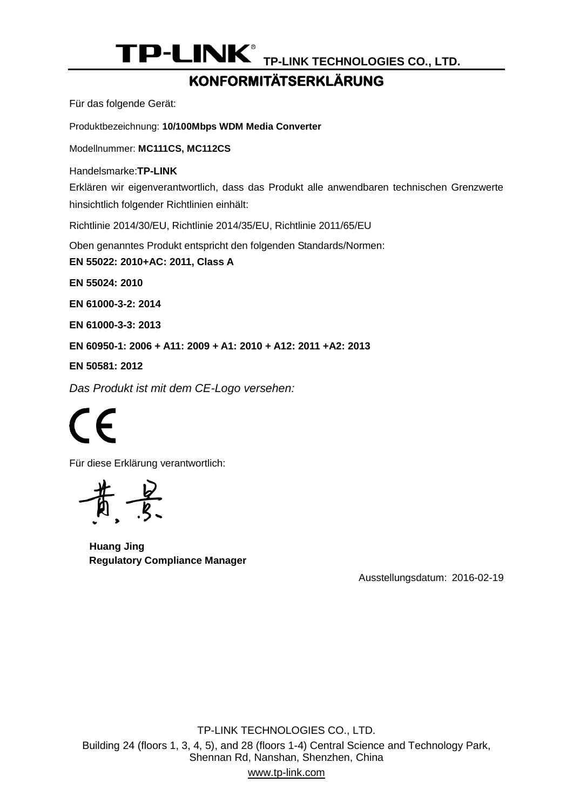#### **KONFORMITÄTSERKLÄRUNG**

Für das folgende Gerät:

Produktbezeichnung: **[10/100Mbps WDM Media Converter](#page-0-0)**

Modellnummer: **[MC111CS, MC112CS](#page-0-1)**

Handelsmarke:**TP-LINK** 

Erklären wir eigenverantwortlich, dass das Produkt alle anwendbaren technischen Grenzwerte hinsichtlich folgender Richtlinien einhält:

Richtlinie 2014/30/EU, Richtlinie 2014/35/EU, Richtlinie 2011/65/EU

Oben genanntes Produkt entspricht den folgenden Standards/Normen:

**EN 55022: 2010+AC: [2011, Class A](#page-0-2)**

**EN [55024:](#page-0-2) 2010**

**[EN 61000-3-2: 2014](#page-0-2)**

**[EN 61000-3-3:](#page-0-2) 2013**

**[EN 60950-1: 2006 + A11: 2009 + A1: 2010 + A12: 2011 +A2: 2013](#page-0-2)**

**[EN 50581:](#page-0-2) 2012**

*Das Produkt ist mit dem CE-Logo versehen:*

 $\epsilon$ 

Für diese Erklärung verantwortlich:

黄景

**Huang Jing Regulatory Compliance Manager**

Ausstellungsdatum: [2016-02-19](#page-0-3)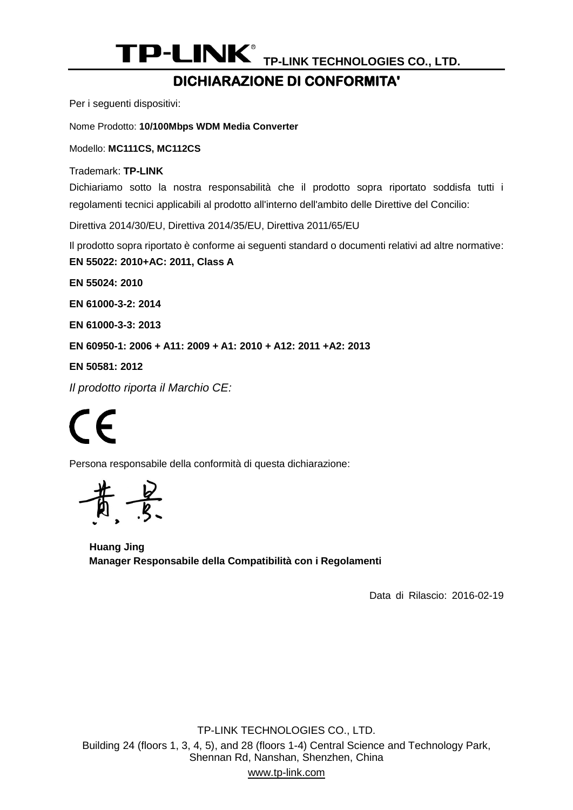#### **DICHIARAZIONE DI CONFORMITA'**

Per i seguenti dispositivi:

Nome Prodotto: **[10/100Mbps WDM Media Converter](#page-0-0)**

Modello: **[MC111CS, MC112CS](#page-0-1)**

Trademark: **TP-LINK** 

Dichiariamo sotto la nostra responsabilità che il prodotto sopra riportato soddisfa tutti i regolamenti tecnici applicabili al prodotto all'interno dell'ambito delle Direttive del Concilio:

Direttiva 2014/30/EU, Direttiva 2014/35/EU, Direttiva 2011/65/EU

Il prodotto sopra riportato è conforme ai seguenti standard o documenti relativi ad altre normative:

**EN 55022: 2010+AC: [2011, Class A](#page-0-2)**

**EN [55024:](#page-0-2) 2010**

**[EN 61000-3-2: 2014](#page-0-2)**

**[EN 61000-3-3:](#page-0-2) 2013**

**[EN 60950-1: 2006 + A11: 2009 + A1: 2010 + A12: 2011 +A2: 2013](#page-0-2)**

**[EN 50581:](#page-0-2) 2012**

*Il prodotto riporta il Marchio CE:*

 $\mathsf{C}\mathsf{F}$ 

Persona responsabile della conformità di questa dichiarazione:

**Huang Jing Manager Responsabile della Compatibilità con i Regolamenti**

Data di Rilascio: [2016-02-19](#page-0-3)

TP-LINK TECHNOLOGIES CO., LTD. Building 24 (floors 1, 3, 4, 5), and 28 (floors 1-4) Central Science and Technology Park, Shennan Rd, Nanshan, Shenzhen, China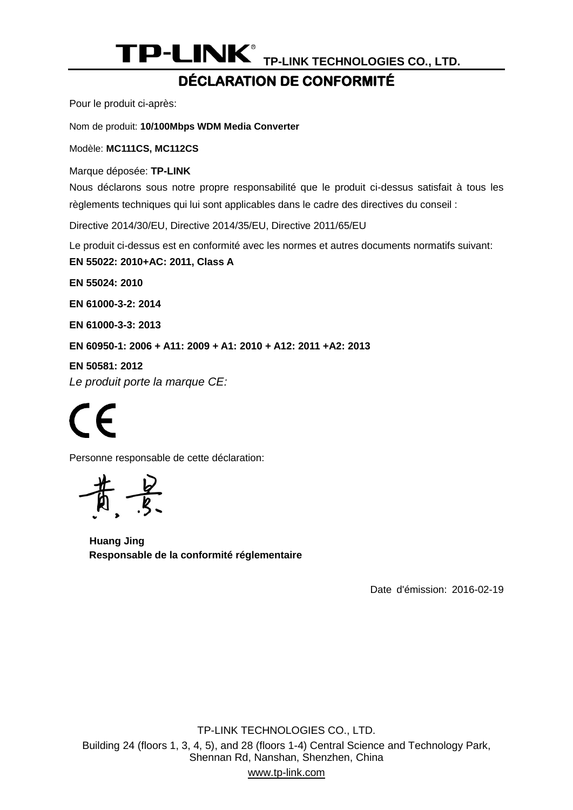### **DÉ CLARATION DE CONFORMITÉ**

Pour le produit ci-après:

Nom de produit: **[10/100Mbps WDM Media Converter](#page-0-0)**

Modèle: **[MC111CS, MC112CS](#page-0-1)**

Marque déposée: **TP-LINK** 

Nous déclarons sous notre propre responsabilité que le produit ci-dessus satisfait à tous les règlements techniques qui lui sont applicables dans le cadre des directives du conseil :

Directive 2014/30/EU, Directive 2014/35/EU, Directive 2011/65/EU

Le produit ci-dessus est en conformité avec les normes et autres documents normatifs suivant:

**EN 55022: 2010+AC: [2011, Class A](#page-0-2)**

**EN [55024:](#page-0-2) 2010**

**[EN 61000-3-2: 2014](#page-0-2)**

**[EN 61000-3-3:](#page-0-2) 2013**

**[EN 60950-1: 2006 + A11: 2009 + A1: 2010 + A12: 2011 +A2: 2013](#page-0-2)**

**[EN 50581:](#page-0-2) 2012**

*Le produit porte la marque CE:*

 $\epsilon$ 

Personne responsable de cette déclaration:

 $-\frac{b}{5}$ 

**Huang Jing Responsable de la conformité réglementaire**

Date d'émission: [2016-02-19](#page-0-3)

TP-LINK TECHNOLOGIES CO., LTD. Building 24 (floors 1, 3, 4, 5), and 28 (floors 1-4) Central Science and Technology Park, Shennan Rd, Nanshan, Shenzhen, China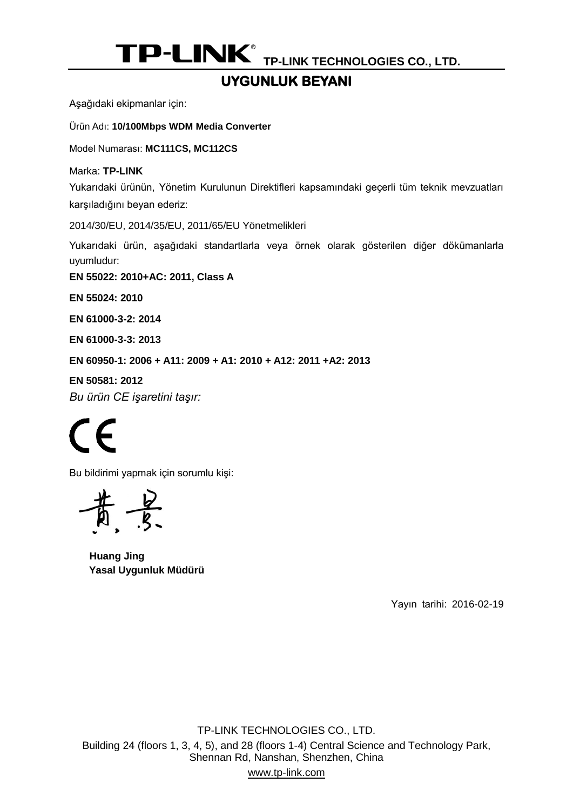# **UYGUNLUK BEYANI**

Aşağıdaki ekipmanlar için:

Ürün Adı: **[10/100Mbps WDM Media Converter](#page-0-0)**

Model Numarası: **[MC111CS, MC112CS](#page-0-1)**

Marka: **TP-LINK** 

Yukarıdaki ürünün, Yönetim Kurulunun Direktifleri kapsamındaki geçerli tüm teknik mevzuatları karşıladığını beyan ederiz:

2014/30/EU, 2014/35/EU, 2011/65/EU Yönetmelikleri

Yukarıdaki ürün, aşağıdaki standartlarla veya örnek olarak gösterilen diğer dökümanlarla uyumludur:

**EN 55022: 2010+AC: [2011, Class A](#page-0-2)**

**EN [55024:](#page-0-2) 2010**

**[EN 61000-3-2: 2014](#page-0-2)**

**[EN 61000-3-3:](#page-0-2) 2013**

**[EN 60950-1: 2006 + A11: 2009 + A1: 2010 + A12: 2011 +A2: 2013](#page-0-2)**

**[EN 50581:](#page-0-2) 2012** *Bu ürün CE işaretini taşır:*

 $\mathcal{\Gamma}$ 

Bu bildirimi yapmak için sorumlu kişi:

**Huang Jing Yasal Uygunluk Müdürü**

Yayın tarihi: [2016-02-19](#page-0-3)

TP-LINK TECHNOLOGIES CO., LTD. Building 24 (floors 1, 3, 4, 5), and 28 (floors 1-4) Central Science and Technology Park, Shennan Rd, Nanshan, Shenzhen, China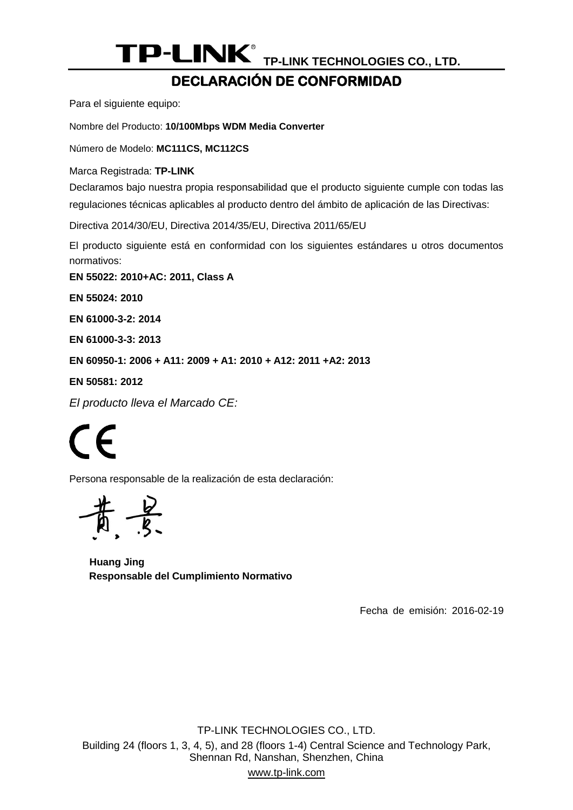# **DECLARACIÓ N DE CONFORMIDAD**

Para el siguiente equipo:

Nombre del Producto: **[10/100Mbps WDM Media Converter](#page-0-0)**

Número de Modelo: **[MC111CS, MC112CS](#page-0-1)**

Marca Registrada: **TP-LINK** 

Declaramos bajo nuestra propia responsabilidad que el producto siguiente cumple con todas las regulaciones técnicas aplicables al producto dentro del ámbito de aplicación de las Directivas:

Directiva 2014/30/EU, Directiva 2014/35/EU, Directiva 2011/65/EU

El producto siguiente está en conformidad con los siguientes estándares u otros documentos normativos:

**EN 55022: 2010+AC: [2011, Class A](#page-0-2)**

**EN [55024:](#page-0-2) 2010**

**[EN 61000-3-2: 2014](#page-0-2)**

**[EN 61000-3-3:](#page-0-2) 2013**

**[EN 60950-1: 2006 + A11: 2009 + A1: 2010 + A12: 2011 +A2: 2013](#page-0-2)**

**[EN 50581:](#page-0-2) 2012**

*El producto lleva el Marcado CE:*

 $\epsilon$ 

Persona responsable de la realización de esta declaración:

**Huang Jing Responsable del Cumplimiento Normativo**

Fecha de emisión: [2016-02-19](#page-0-3)

TP-LINK TECHNOLOGIES CO., LTD. Building 24 (floors 1, 3, 4, 5), and 28 (floors 1-4) Central Science and Technology Park, Shennan Rd, Nanshan, Shenzhen, China www.tp-link.com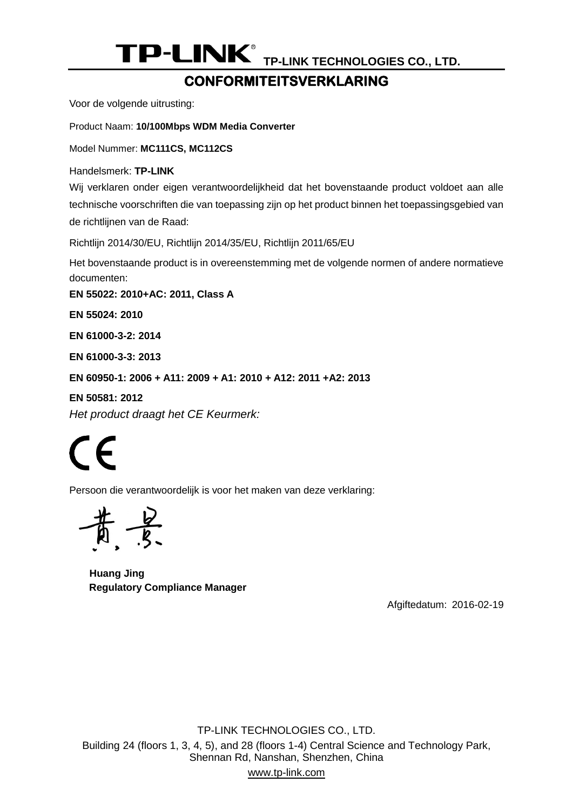#### **CONFORMITEITSVERKLARING**

Voor de volgende uitrusting:

Product Naam: **[10/100Mbps WDM Media Converter](#page-0-0)**

Model Nummer: **[MC111CS, MC112CS](#page-0-1)**

Handelsmerk: **TP-LINK** 

Wij verklaren onder eigen verantwoordelijkheid dat het bovenstaande product voldoet aan alle technische voorschriften die van toepassing zijn op het product binnen het toepassingsgebied van de richtlijnen van de Raad:

Richtlijn 2014/30/EU, Richtlijn 2014/35/EU, Richtlijn 2011/65/EU

Het bovenstaande product is in overeenstemming met de volgende normen of andere normatieve documenten:

**EN 55022: 2010+AC: [2011, Class A](#page-0-2)**

**EN [55024:](#page-0-2) 2010**

**[EN 61000-3-2: 2014](#page-0-2)**

**[EN 61000-3-3:](#page-0-2) 2013**

**[EN 60950-1: 2006 + A11: 2009 + A1: 2010 + A12: 2011 +A2: 2013](#page-0-2)**

**[EN 50581:](#page-0-2) 2012** *Het product draagt het CE Keurmerk:*

 $\epsilon$ 

Persoon die verantwoordelijk is voor het maken van deze verklaring:

**Huang Jing Regulatory Compliance Manager**

Afgiftedatum: [2016-02-19](#page-0-3)

TP-LINK TECHNOLOGIES CO., LTD. Building 24 (floors 1, 3, 4, 5), and 28 (floors 1-4) Central Science and Technology Park, Shennan Rd, Nanshan, Shenzhen, China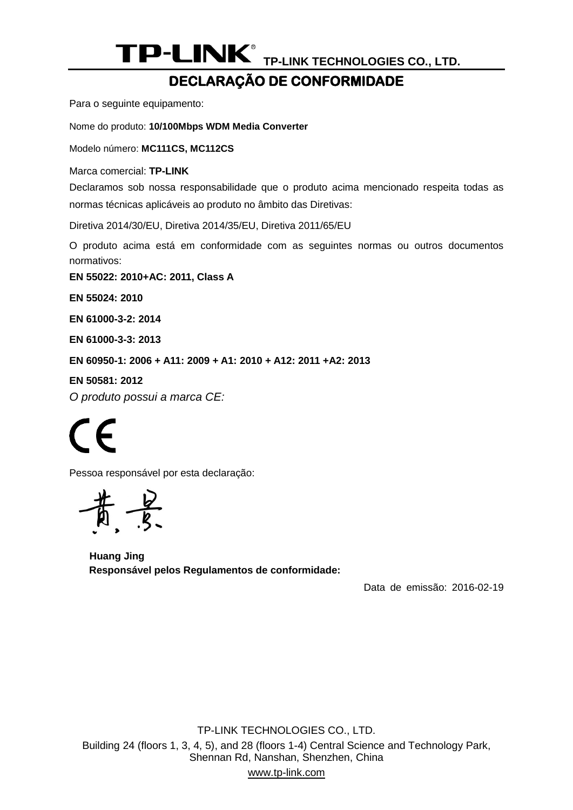# **DECLARAÇÃO DE CONFORMIDADE**

Para o seguinte equipamento:

Nome do produto: **[10/100Mbps WDM Media Converter](#page-0-0)**

Modelo número: **[MC111CS, MC112CS](#page-0-1)**

Marca comercial: **TP-LINK** 

Declaramos sob nossa responsabilidade que o produto acima mencionado respeita todas as normas técnicas aplicáveis ao produto no âmbito das Diretivas:

Diretiva 2014/30/EU, Diretiva 2014/35/EU, Diretiva 2011/65/EU

O produto acima está em conformidade com as seguintes normas ou outros documentos normativos:

**EN 55022: 2010+AC: [2011, Class A](#page-0-2)**

**EN [55024:](#page-0-2) 2010**

**[EN 61000-3-2: 2014](#page-0-2)**

**[EN 61000-3-3:](#page-0-2) 2013**

**[EN 60950-1: 2006 + A11: 2009 + A1: 2010 + A12: 2011 +A2: 2013](#page-0-2)**

**[EN 50581:](#page-0-2) 2012**

*O produto possui a marca CE:*

# $\mathcal{\Gamma}$

Pessoa responsável por esta declaração:

 $-\frac{b}{s}$ 

**Huang Jing Responsável pelos Regulamentos de conformidade:**

Data de emissão: [2016-02-19](#page-0-3)

TP-LINK TECHNOLOGIES CO., LTD. Building 24 (floors 1, 3, 4, 5), and 28 (floors 1-4) Central Science and Technology Park, Shennan Rd, Nanshan, Shenzhen, China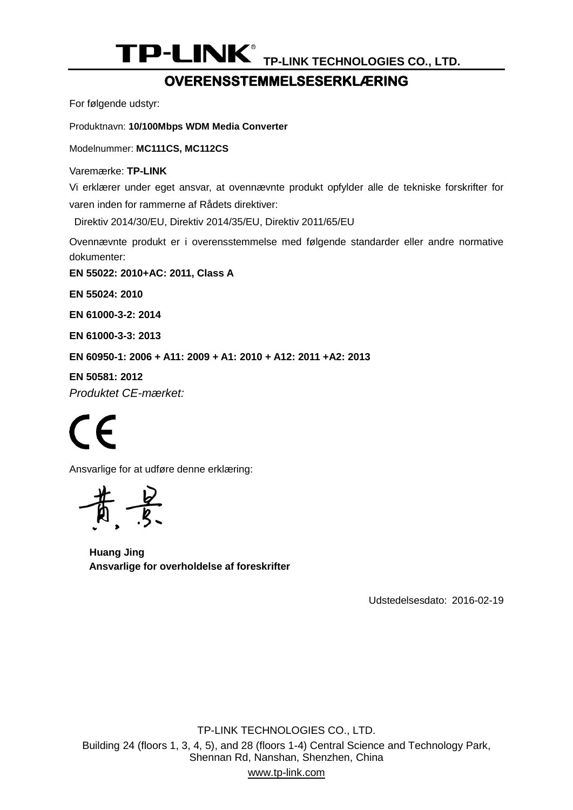#### **OVERENSSTEMMELSESERKLÆ RING**

For følgende udstyr:

Produktnavn: **[10/100Mbps WDM Media Converter](#page-0-0)**

Modelnummer: **[MC111CS, MC112CS](#page-0-1)**

Varemærke: **TP-LINK** 

Vi erklærer under eget ansvar, at ovennævnte produkt opfylder alle de tekniske forskrifter for varen inden for rammerne af Rådets direktiver:

Direktiv 2014/30/EU, Direktiv 2014/35/EU, Direktiv 2011/65/EU

Ovennævnte produkt er i overensstemmelse med følgende standarder eller andre normative dokumenter:

**EN 55022: 2010+AC: [2011, Class A](#page-0-2)**

**EN [55024:](#page-0-2) 2010**

**[EN 61000-3-2: 2014](#page-0-2)**

**[EN 61000-3-3:](#page-0-2) 2013**

**[EN 60950-1: 2006 + A11: 2009 + A1: 2010 + A12: 2011 +A2: 2013](#page-0-2)**

**[EN 50581:](#page-0-2) 2012** *Produktet CE-mæ rket:*

 $\epsilon$ 

Ansvarlige for at udføre denne erklæring:

**Huang Jing Ansvarlige for overholdelse af foreskrifter**

Udstedelsesdato: [2016-02-19](#page-0-3)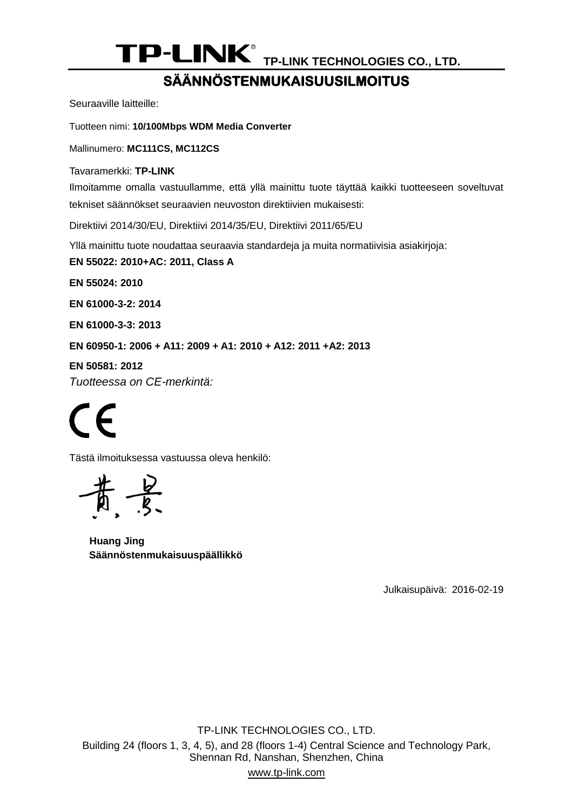# **SÄ Ä NNÖ STENMUKAISUUSILMOITUS**

Seuraaville laitteille:

Tuotteen nimi: **[10/100Mbps WDM Media Converter](#page-0-0)**

Mallinumero: **[MC111CS, MC112CS](#page-0-1)**

Tavaramerkki: **TP-LINK** 

Ilmoitamme omalla vastuullamme, että yllä mainittu tuote täyttää kaikki tuotteeseen soveltuvat tekniset säännökset seuraavien neuvoston direktiivien mukaisesti:

Direktiivi 2014/30/EU, Direktiivi 2014/35/EU, Direktiivi 2011/65/EU

Yllä mainittu tuote noudattaa seuraavia standardeja ja muita normatiivisia asiakirjoja:

**EN 55022: 2010+AC: [2011, Class A](#page-0-2)**

**EN [55024:](#page-0-2) 2010**

**[EN 61000-3-2: 2014](#page-0-2)**

**[EN 61000-3-3:](#page-0-2) 2013**

**[EN 60950-1: 2006 + A11: 2009 + A1: 2010 + A12: 2011 +A2: 2013](#page-0-2)**

**[EN 50581:](#page-0-2) 2012**

*Tuotteessa on CE-merkintä:*

 $\epsilon$ 

Tästä ilmoituksessa vastuussa oleva henkilö:

 $\frac{2}{3}$ 

**Huang Jing Säännöstenmukaisuuspäällikkö**

Julkaisupäivä: [2016-02-19](#page-0-3)

TP-LINK TECHNOLOGIES CO., LTD. Building 24 (floors 1, 3, 4, 5), and 28 (floors 1-4) Central Science and Technology Park, Shennan Rd, Nanshan, Shenzhen, China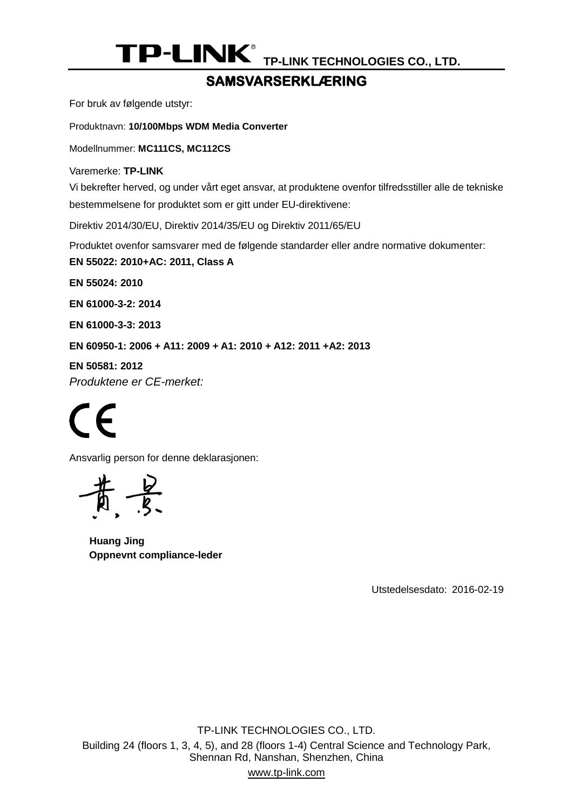### SAMSVARSERKLÆRING

For bruk av følgende utstyr:

Produktnavn: **[10/100Mbps WDM Media Converter](#page-0-0)**

Modellnummer: **[MC111CS, MC112CS](#page-0-1)**

Varemerke: **TP-LINK** 

Vi bekrefter herved, og under vårt eget ansvar, at produktene ovenfor tilfredsstiller alle de tekniske bestemmelsene for produktet som er gitt under EU-direktivene:

Direktiv 2014/30/EU, Direktiv 2014/35/EU og Direktiv 2011/65/EU

Produktet ovenfor samsvarer med de følgende standarder eller andre normative dokumenter:

**EN 55022: 2010+AC: [2011, Class A](#page-0-2)**

**EN [55024:](#page-0-2) 2010**

**[EN 61000-3-2: 2014](#page-0-2)**

**[EN 61000-3-3:](#page-0-2) 2013**

**[EN 60950-1: 2006 + A11: 2009 + A1: 2010 + A12: 2011 +A2: 2013](#page-0-2)**

**[EN 50581:](#page-0-2) 2012**

*Produktene er CE-merket:*

 $\epsilon$ 

Ansvarlig person for denne deklarasjonen:

**Huang Jing Oppnevnt compliance-leder**

Utstedelsesdato: [2016-02-19](#page-0-3)

TP-LINK TECHNOLOGIES CO., LTD. Building 24 (floors 1, 3, 4, 5), and 28 (floors 1-4) Central Science and Technology Park, Shennan Rd, Nanshan, Shenzhen, China www.tp-link.com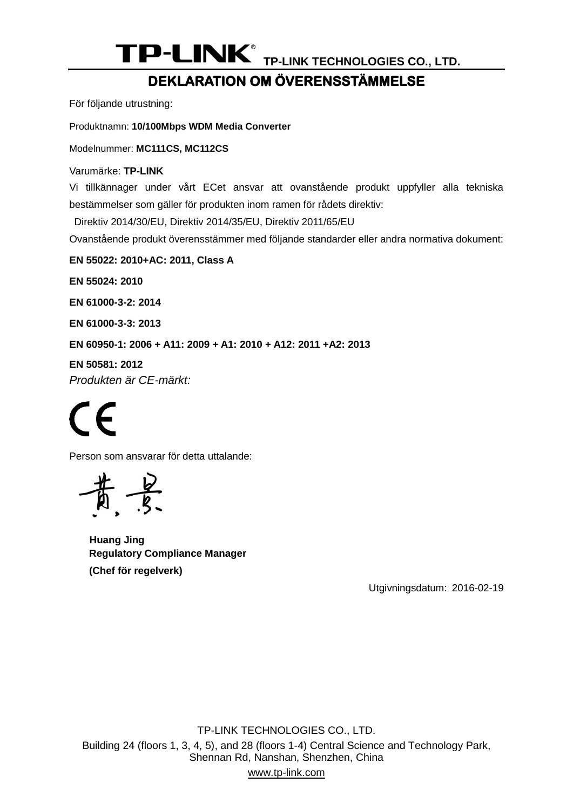# **DEKLARATION OM Ö VERENSSTÄ MMELSE**

För följande utrustning:

Produktnamn: **[10/100Mbps WDM Media Converter](#page-0-0)**

Modelnummer: **[MC111CS, MC112CS](#page-0-1)**

Varumärke: **TP-LINK** 

Vi tillkännager under vårt ECet ansvar att ovanstående produkt uppfyller alla tekniska bestämmelser som gäller för produkten inom ramen för rådets direktiv:

Direktiv 2014/30/EU, Direktiv 2014/35/EU, Direktiv 2011/65/EU

Ovanstående produkt överensstämmer med följande standarder eller andra normativa dokument:

**EN 55022: 2010+AC: [2011, Class A](#page-0-2)**

**EN [55024:](#page-0-2) 2010**

**[EN 61000-3-2: 2014](#page-0-2)**

**[EN 61000-3-3:](#page-0-2) 2013**

**[EN 60950-1: 2006 + A11: 2009 + A1: 2010 + A12: 2011 +A2: 2013](#page-0-2)**

**[EN 50581:](#page-0-2) 2012** *Produkten är CE-märkt:*

# $\epsilon$

Person som ansvarar för detta uttalande:

 $\frac{2}{5}$ 

**Huang Jing Regulatory Compliance Manager (Chef för regelverk)**

Utgivningsdatum: [2016-02-19](#page-0-3)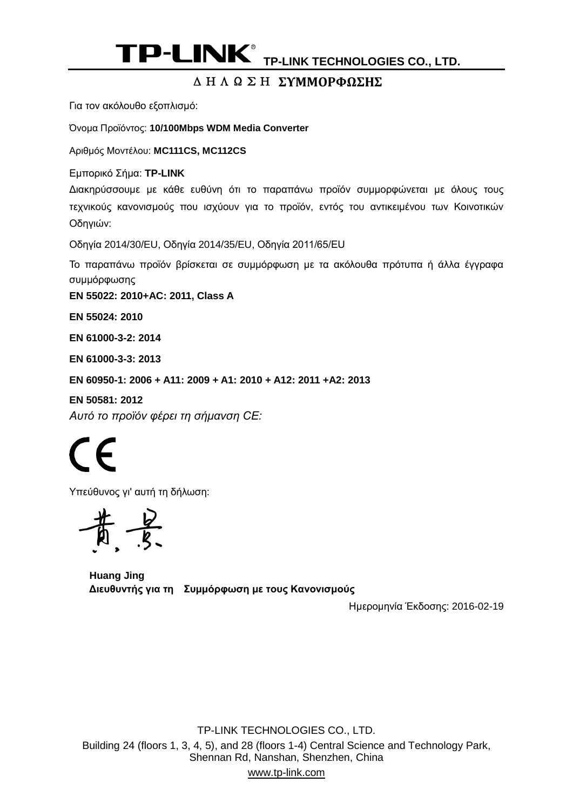#### ΔΗΛΩΣΗ **ΣΥΜΜΟΡΦΩΣΗΣ**

Για τον ακόλουθο εξοπλισμό:

Όνομα Προϊόντος: **[10/100Mbps WDM Media Converter](#page-0-0)**

Αριθμός Μοντέλου: **[MC111CS, MC112CS](#page-0-1)**

Εμπορικό Σήμα: **TP-LINK** 

Διακηρύσσουμε με κάθε ευθύνη ότι το παραπάνω προϊόν συμμορφώνεται με όλους τους τεχνικούς κανονισμούς που ισχύουν για το προϊόν, εντός του αντικειμένου των Κοινοτικών Οδηγιών:

Οδηγία 2014/30/EU, Οδηγία 2014/35/EU, Οδηγία 2011/65/EU

Το παραπάνω προϊόν βρίσκεται σε συμμόρφωση με τα ακόλουθα πρότυπα ή άλλα έγγραφα συμμόρφωσης

**EN 55022: 2010+AC: [2011, Class A](#page-0-2)**

**EN [55024:](#page-0-2) 2010**

**[EN 61000-3-2: 2014](#page-0-2)**

**[EN 61000-3-3:](#page-0-2) 2013**

**[EN 60950-1: 2006 + A11: 2009 + A1: 2010 + A12: 2011 +A2: 2013](#page-0-2)**

**[EN 50581:](#page-0-2) 2012** *Αυτό το προϊόν φέρει τη σήμανση CE:*

 $\mathcal{\Gamma}$   $\mathcal{\Gamma}$ 

Υπεύθυνος γι' αυτή τη δήλωση:

**Huang Jing Διευθυντής για τη Συμμόρφωση με τους Κανονισμούς**

Ημερομηνία Έκδοσης: [2016-02-19](#page-0-3)

TP-LINK TECHNOLOGIES CO., LTD. Building 24 (floors 1, 3, 4, 5), and 28 (floors 1-4) Central Science and Technology Park, Shennan Rd, Nanshan, Shenzhen, China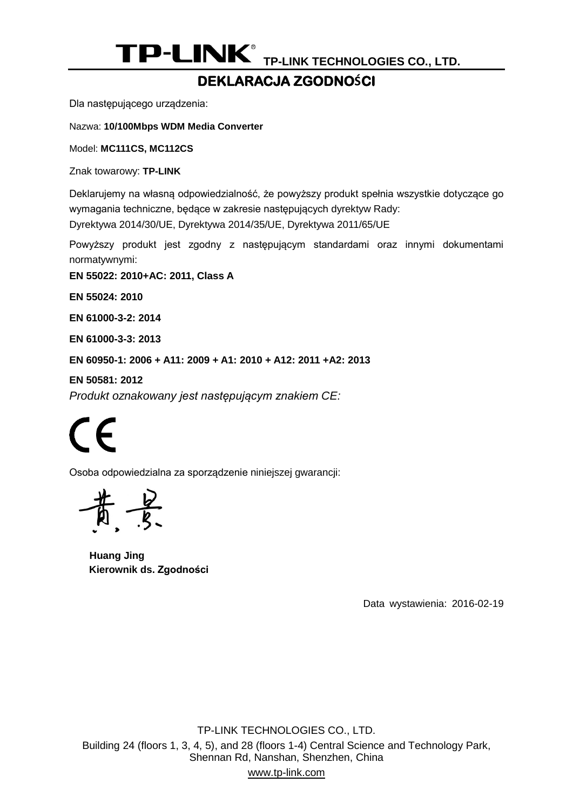### **DEKLARACJA ZGODNOŚCI**

Dla następującego urządzenia:

Nazwa: **[10/100Mbps WDM Media Converter](#page-0-0)**

Model: **[MC111CS, MC112CS](#page-0-1)**

Znak towarowy: **TP-LINK**

Deklarujemy na własną odpowiedzialność, że powyższy produkt spełnia wszystkie dotyczące go wymagania techniczne, będące w zakresie następujących dyrektyw Rady:

Dyrektywa 2014/30/UE, Dyrektywa 2014/35/UE, Dyrektywa 2011/65/UE

Powyższy produkt jest zgodny z następującym standardami oraz innymi dokumentami normatywnymi:

**EN 55022: 2010+AC: [2011, Class A](#page-0-2)**

**EN [55024:](#page-0-2) 2010**

**[EN 61000-3-2: 2014](#page-0-2)**

**[EN 61000-3-3:](#page-0-2) 2013**

**[EN 60950-1: 2006 + A11: 2009 + A1: 2010 + A12: 2011 +A2: 2013](#page-0-2)**

**[EN 50581:](#page-0-2) 2012**

*Produkt oznakowany jest następującym znakiem CE:*

 $\mathcal{\Gamma}$   $\mathcal{\mathcal{L}}$ 

Osoba odpowiedzialna za sporządzenie niniejszej gwarancji:

**Huang Jing Kierownik ds. Zgodności**

Data wystawienia: [2016-02-19](#page-0-3)

TP-LINK TECHNOLOGIES CO., LTD. Building 24 (floors 1, 3, 4, 5), and 28 (floors 1-4) Central Science and Technology Park, Shennan Rd, Nanshan, Shenzhen, China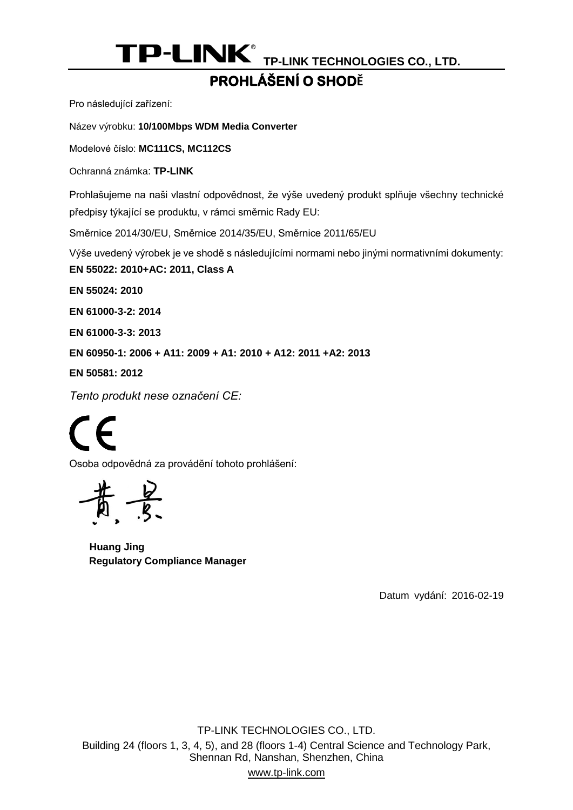# **PROHLÁ ŠENÍ O SHODĚ**

Pro následující zařízení:

Název výrobku: **[10/100Mbps WDM Media Converter](#page-0-0)**

Modelové číslo: **[MC111CS, MC112CS](#page-0-1)**

Ochranná známka: **TP-LINK**

Prohlašujeme na naši vlastní odpovědnost, že výše uvedený produkt splňuje všechny technické předpisy týkající se produktu, v rámci směrnic Rady EU:

Směrnice 2014/30/EU, Směrnice 2014/35/EU, Směrnice 2011/65/EU

Výše uvedený výrobek je ve shodě s následujícími normami nebo jinými normativními dokumenty:

**EN 55022: 2010+AC: [2011, Class A](#page-0-2)**

**EN [55024:](#page-0-2) 2010**

**[EN 61000-3-2: 2014](#page-0-2)**

**[EN 61000-3-3:](#page-0-2) 2013**

**[EN 60950-1: 2006 + A11: 2009 + A1: 2010 + A12: 2011 +A2: 2013](#page-0-2)**

**[EN 50581:](#page-0-2) 2012**

*Tento produkt nese označení CE:*

 $\mathcal{\Gamma}$   $\mathcal{\mathcal{L}}$ 

Osoba odpovědná za provádění tohoto prohlášení:

**Huang Jing Regulatory Compliance Manager**

Datum vydání: [2016-02-19](#page-0-3)

TP-LINK TECHNOLOGIES CO., LTD. Building 24 (floors 1, 3, 4, 5), and 28 (floors 1-4) Central Science and Technology Park, Shennan Rd, Nanshan, Shenzhen, China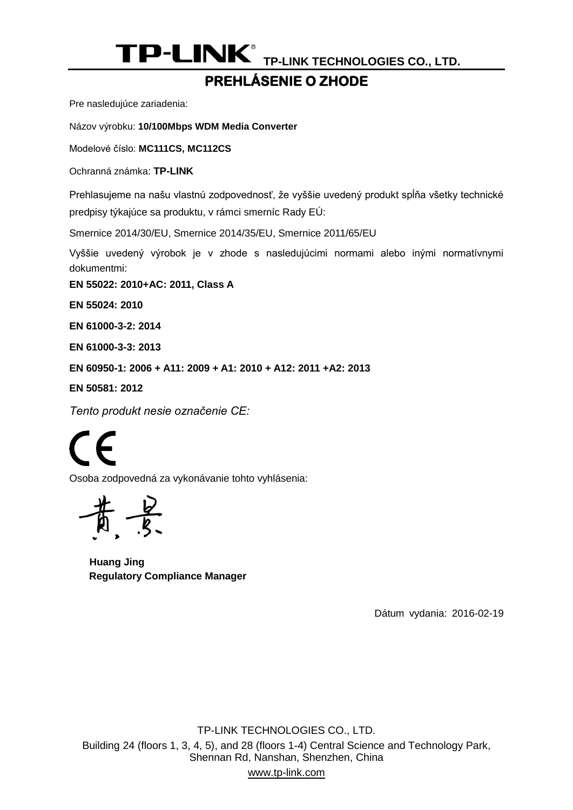# **PREHLÁ SENIE O ZHODE**

Pre nasledujúce zariadenia:

Názov výrobku: **[10/100Mbps WDM Media Converter](#page-0-0)**

Modelové číslo: **[MC111CS, MC112CS](#page-0-1)**

Ochranná známka: **TP-LINK**

Prehlasujeme na našu vlastnú zodpovednosť, že vyššie uvedený produkt spĺňa všetky technické predpisy týkajúce sa produktu, v rámci smerníc Rady EÚ:

Smernice 2014/30/EU, Smernice 2014/35/EU, Smernice 2011/65/EU

Vyššie uvedený výrobok je v zhode s nasledujúcimi normami alebo inými normatívnymi dokumentmi:

**EN 55022: 2010+AC: [2011, Class A](#page-0-2)**

**EN [55024:](#page-0-2) 2010**

**[EN 61000-3-2: 2014](#page-0-2)**

**[EN 61000-3-3:](#page-0-2) 2013**

**[EN 60950-1: 2006 + A11: 2009 + A1: 2010 + A12: 2011 +A2: 2013](#page-0-2)**

**[EN 50581:](#page-0-2) 2012**

*Tento produkt nesie označenie CE:*

┡

Osoba zodpovedná za vykonávanie tohto vyhlásenia:

**Huang Jing Regulatory Compliance Manager**

Dátum vydania: [2016-02-19](#page-0-3)

TP-LINK TECHNOLOGIES CO., LTD. Building 24 (floors 1, 3, 4, 5), and 28 (floors 1-4) Central Science and Technology Park, Shennan Rd, Nanshan, Shenzhen, China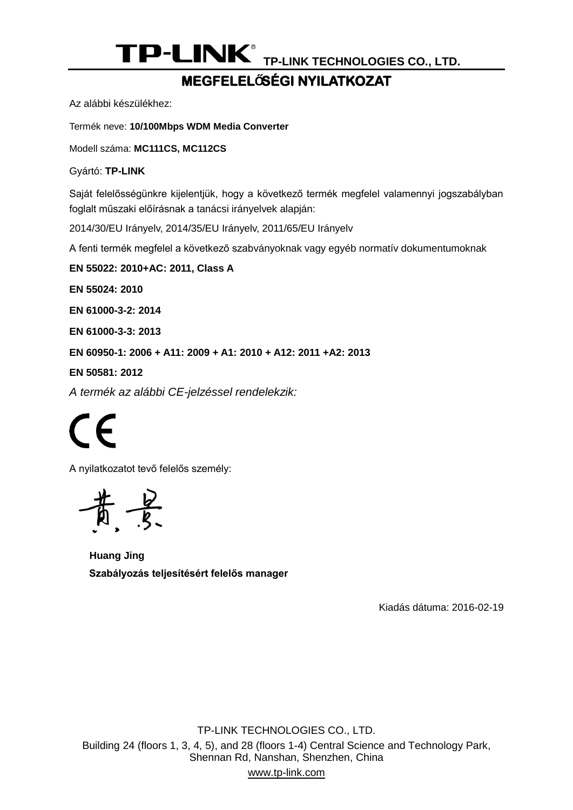### **MEGFELELŐSÉ GI NYILATKOZAT**

Az alábbi készülékhez:

Termék neve: **[10/100Mbps WDM Media Converter](#page-0-0)**

Modell száma: **[MC111CS, MC112CS](#page-0-1)**

Gyártó: **TP-LINK**

Saját felelősségünkre kijelentjük, hogy a következő termék megfelel valamennyi jogszabályban foglalt műszaki előírásnak a tanácsi irányelvek alapján:

2014/30/EU Irányelv, 2014/35/EU Irányelv, 2011/65/EU Irányelv

A fenti termék megfelel a következő szabványoknak vagy egyéb normatív dokumentumoknak

**EN 55022: 2010+AC: [2011, Class A](#page-0-2)**

**EN [55024:](#page-0-2) 2010**

**[EN 61000-3-2: 2014](#page-0-2)**

**[EN 61000-3-3:](#page-0-2) 2013**

**[EN 60950-1: 2006 + A11: 2009 + A1: 2010 + A12: 2011 +A2: 2013](#page-0-2)**

**[EN 50581:](#page-0-2) 2012**

*A termék az alábbi CE-jelzéssel rendelekzik:*

 $\epsilon$ 

A nyilatkozatot tevő felelős személy:



**Huang Jing Szabályozás teljesítésért felelős manager**

Kiadás dátuma: [2016-02-19](#page-0-3)

TP-LINK TECHNOLOGIES CO., LTD. Building 24 (floors 1, 3, 4, 5), and 28 (floors 1-4) Central Science and Technology Park, Shennan Rd, Nanshan, Shenzhen, China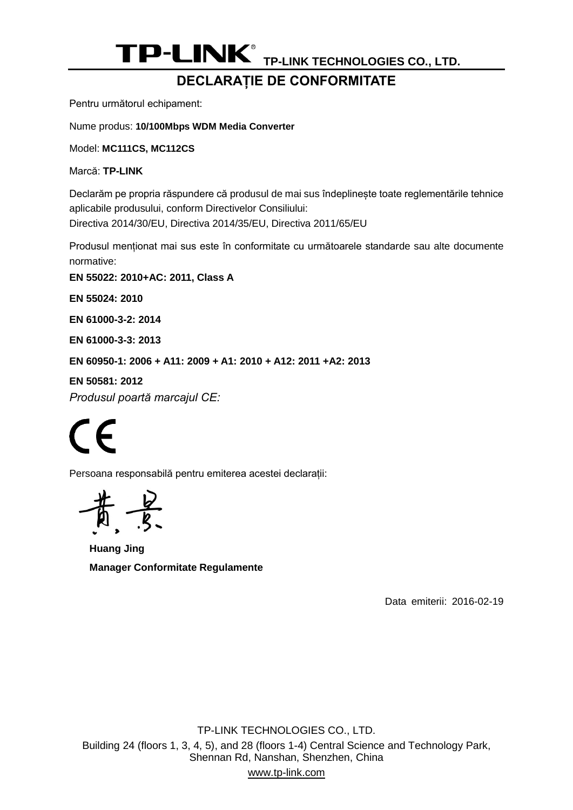### **DECLARAȚIE DE CONFORMITATE**

Pentru următorul echipament:

Nume produs: **[10/100Mbps WDM Media Converter](#page-0-0)**

Model: **[MC111CS, MC112CS](#page-0-1)**

Marcă: **TP-LINK**

Declarăm pe propria răspundere că produsul de mai sus îndeplinește toate reglementările tehnice aplicabile produsului, conform Directivelor Consiliului: Directiva 2014/30/EU, Directiva 2014/35/EU, Directiva 2011/65/EU

Produsul menționat mai sus este în conformitate cu următoarele standarde sau alte documente normative:

**EN 55022: 2010+AC: [2011, Class A](#page-0-2)**

**EN [55024:](#page-0-2) 2010**

**[EN 61000-3-2: 2014](#page-0-2)**

**[EN 61000-3-3:](#page-0-2) 2013**

**[EN 60950-1: 2006 + A11: 2009 + A1: 2010 + A12: 2011 +A2: 2013](#page-0-2)**

**[EN 50581:](#page-0-2) 2012** *Produsul poartă marcajul CE:*

CE

Persoana responsabilă pentru emiterea acestei declarații:

**Huang Jing Manager Conformitate Regulamente**

Data emiterii: [2016-02-19](#page-0-3)

TP-LINK TECHNOLOGIES CO., LTD. Building 24 (floors 1, 3, 4, 5), and 28 (floors 1-4) Central Science and Technology Park, Shennan Rd, Nanshan, Shenzhen, China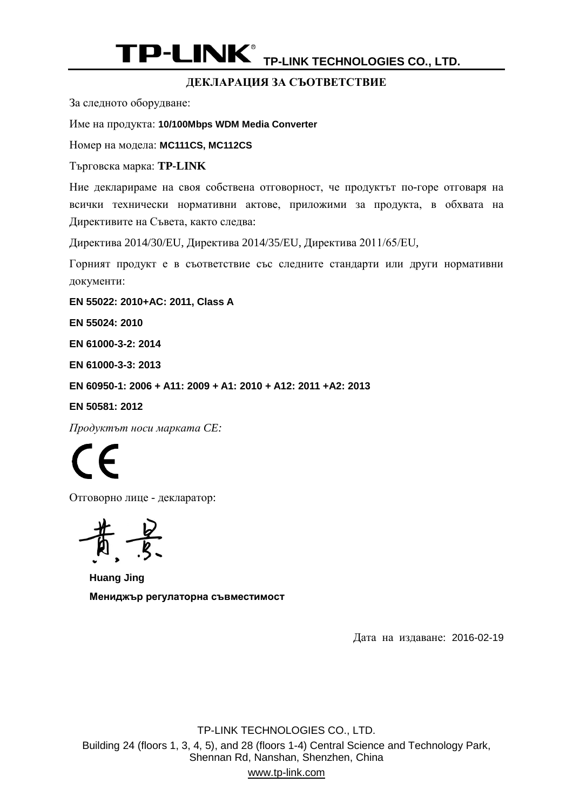#### **ДЕКЛАРАЦИЯ ЗА СЪОТВЕТСТВИЕ**

За следното оборудване:

Име на продукта: **[10/100Mbps WDM Media Converter](#page-0-0)**

Номер на модела: **[MC111CS, MC112CS](#page-0-1)**

Търговска марка: **TP-LINK**

Ние декларираме на своя собствена отговорност, че продуктът по-горе отговаря на всички технически нормативни актове, приложими за продукта, в обхвата на Директивите на Съвета, както следва:

Директива 2014/30/EU, Директива 2014/35/EU, Директива 2011/65/ЕU,

Горният продукт е в съответствие със следните стандарти или други нормативни документи:

**EN 55022: 2010+AC: [2011, Class A](#page-0-2)**

**EN [55024:](#page-0-2) 2010**

**[EN 61000-3-2: 2014](#page-0-2)**

**[EN 61000-3-3:](#page-0-2) 2013**

**[EN 60950-1: 2006 + A11: 2009 + A1: 2010 + A12: 2011 +A2: 2013](#page-0-2)**

**[EN 50581:](#page-0-2) 2012**

*Продуктът носи марката CE:*

 $\mathcal{\mathcal{L}}$ 

Отговорно лице - декларатор:

 $-\frac{b}{s}$ 

**Huang Jing Мениджър регулаторна съвместимост**

Дата на издаване: [2016-02-19](#page-0-3)

TP-LINK TECHNOLOGIES CO., LTD. Building 24 (floors 1, 3, 4, 5), and 28 (floors 1-4) Central Science and Technology Park, Shennan Rd, Nanshan, Shenzhen, China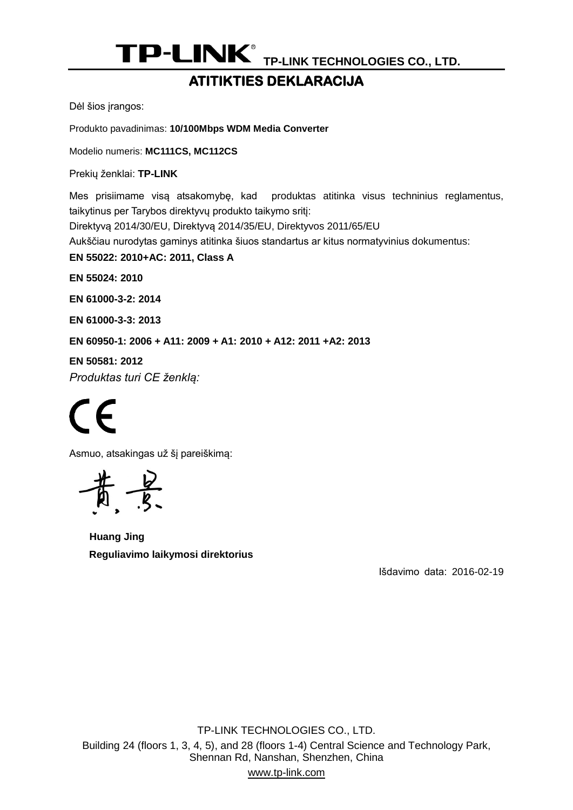#### **ATITIKTIES DEKLARACIJA**

Dėl šios įrangos:

Produkto pavadinimas: **[10/100Mbps WDM Media Converter](#page-0-0)**

Modelio numeris: **[MC111CS, MC112CS](#page-0-1)**

Prekių ženklai: **TP-LINK**

Mes prisiimame visą atsakomybę, kad produktas atitinka visus techninius reglamentus, taikytinus per Tarybos direktyvų produkto taikymo sritį:

Direktyvą 2014/30/EU, Direktyvą 2014/35/EU, Direktyvos 2011/65/EU

Aukščiau nurodytas gaminys atitinka šiuos standartus ar kitus normatyvinius dokumentus:

**EN 55022: 2010+AC: [2011, Class A](#page-0-2)**

**EN [55024:](#page-0-2) 2010**

**[EN 61000-3-2: 2014](#page-0-2)**

**[EN 61000-3-3:](#page-0-2) 2013**

**[EN 60950-1: 2006 + A11: 2009 + A1: 2010 + A12: 2011 +A2: 2013](#page-0-2)**

**[EN 50581:](#page-0-2) 2012**

*Produktas turi CE ženklą:*

(  $\epsilon$ 

Asmuo, atsakingas už šį pareiškimą:

**Huang Jing Reguliavimo laikymosi direktorius**

Išdavimo data: [2016-02-19](#page-0-3)